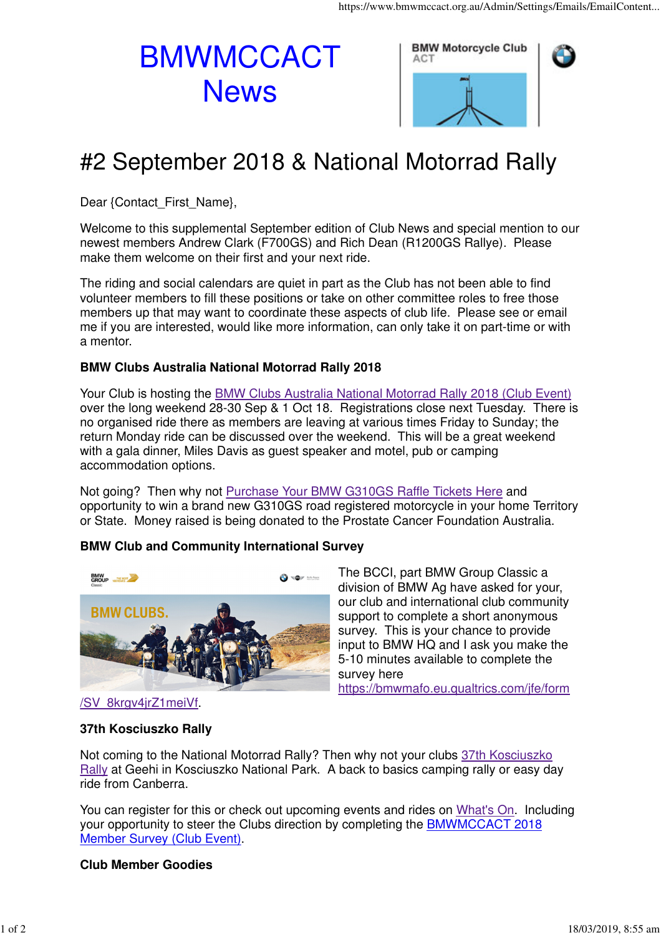# **BMWMCCACT News**



## #2 September 2018 & National Motorrad Rally

Dear {Contact\_First\_Name},

Welcome to this supplemental September edition of Club News and special mention to our newest members Andrew Clark (F700GS) and Rich Dean (R1200GS Rallye). Please make them welcome on their first and your next ride.

The riding and social calendars are quiet in part as the Club has not been able to find volunteer members to fill these positions or take on other committee roles to free those members up that may want to coordinate these aspects of club life. Please see or email me if you are interested, would like more information, can only take it on part-time or with a mentor.

#### **BMW Clubs Australia National Motorrad Rally 2018**

Your Club is hosting the BMW Clubs Australia National Motorrad Rally 2018 (Club Event) over the long weekend 28-30 Sep & 1 Oct 18. Registrations close next Tuesday. There is no organised ride there as members are leaving at various times Friday to Sunday; the return Monday ride can be discussed over the weekend. This will be a great weekend with a gala dinner, Miles Davis as guest speaker and motel, pub or camping accommodation options.

Not going? Then why not Purchase Your BMW G310GS Raffle Tickets Here and opportunity to win a brand new G310GS road registered motorcycle in your home Territory or State. Money raised is being donated to the Prostate Cancer Foundation Australia.

### **BMW Club and Community International Survey**



The BCCI, part BMW Group Classic a division of BMW Ag have asked for your, our club and international club community support to complete a short anonymous survey. This is your chance to provide input to BMW HQ and I ask you make the 5-10 minutes available to complete the survey here https://bmwmafo.eu.qualtrics.com/jfe/form

#### **37th Kosciuszko Rally**

Not coming to the National Motorrad Rally? Then why not your clubs 37th Kosciuszko Rally at Geehi in Kosciuszko National Park. A back to basics camping rally or easy day ride from Canberra.

You can register for this or check out upcoming events and rides on What's On. Including your opportunity to steer the Clubs direction by completing the BMWMCCACT 2018 Member Survey (Club Event).

#### **Club Member Goodies**

<sup>/</sup>SV\_8krgv4jrZ1meiVf.